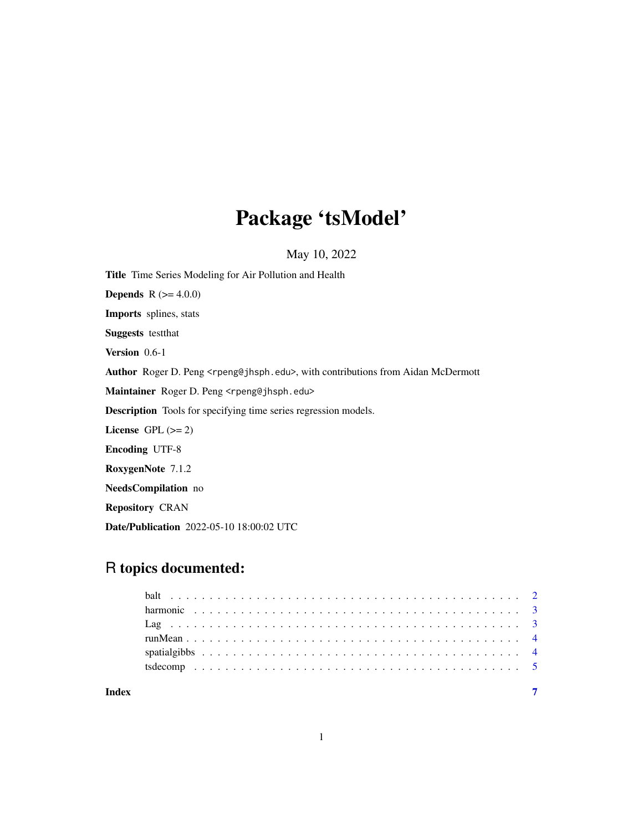# Package 'tsModel'

May 10, 2022

Title Time Series Modeling for Air Pollution and Health **Depends** R  $(>= 4.0.0)$ Imports splines, stats Suggests testthat Version 0.6-1 Author Roger D. Peng <rpeng@jhsph.edu>, with contributions from Aidan McDermott Maintainer Roger D. Peng <rpeng@jhsph.edu> Description Tools for specifying time series regression models. License GPL  $(>= 2)$ Encoding UTF-8 RoxygenNote 7.1.2 NeedsCompilation no Repository CRAN Date/Publication 2022-05-10 18:00:02 UTC

## R topics documented:

| Index |  |
|-------|--|

1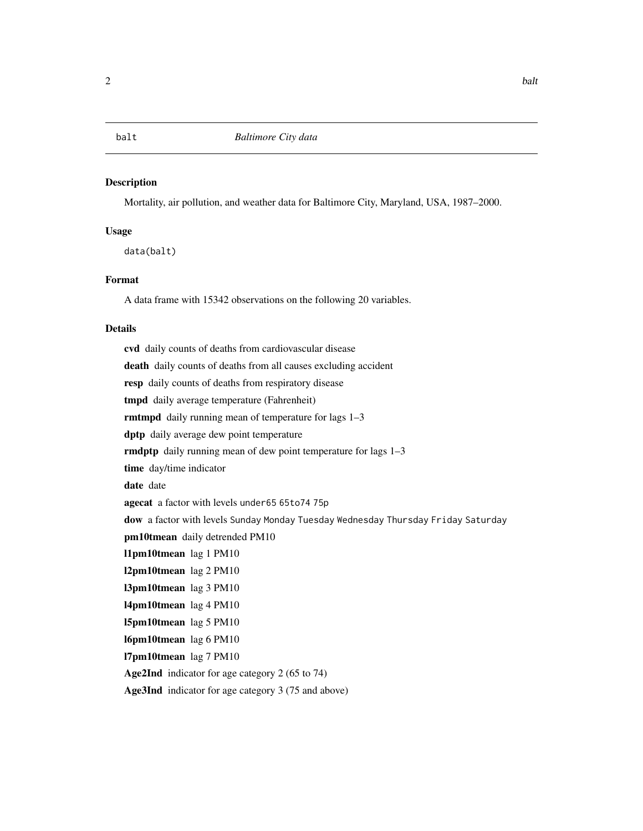#### <span id="page-1-0"></span>Description

Mortality, air pollution, and weather data for Baltimore City, Maryland, USA, 1987–2000.

#### Usage

data(balt)

#### Format

A data frame with 15342 observations on the following 20 variables.

#### Details

cvd daily counts of deaths from cardiovascular disease death daily counts of deaths from all causes excluding accident resp daily counts of deaths from respiratory disease tmpd daily average temperature (Fahrenheit) rmtmpd daily running mean of temperature for lags 1–3 dptp daily average dew point temperature rmdptp daily running mean of dew point temperature for lags 1–3 time day/time indicator date date agecat a factor with levels under65 65to74 75p dow a factor with levels Sunday Monday Tuesday Wednesday Thursday Friday Saturday pm10tmean daily detrended PM10 l1pm10tmean lag 1 PM10 l2pm10tmean lag 2 PM10 l3pm10tmean lag 3 PM10 l4pm10tmean lag 4 PM10 l5pm10tmean lag 5 PM10 l6pm10tmean lag 6 PM10 l7pm10tmean lag 7 PM10 Age2Ind indicator for age category 2 (65 to 74)

Age3Ind indicator for age category 3 (75 and above)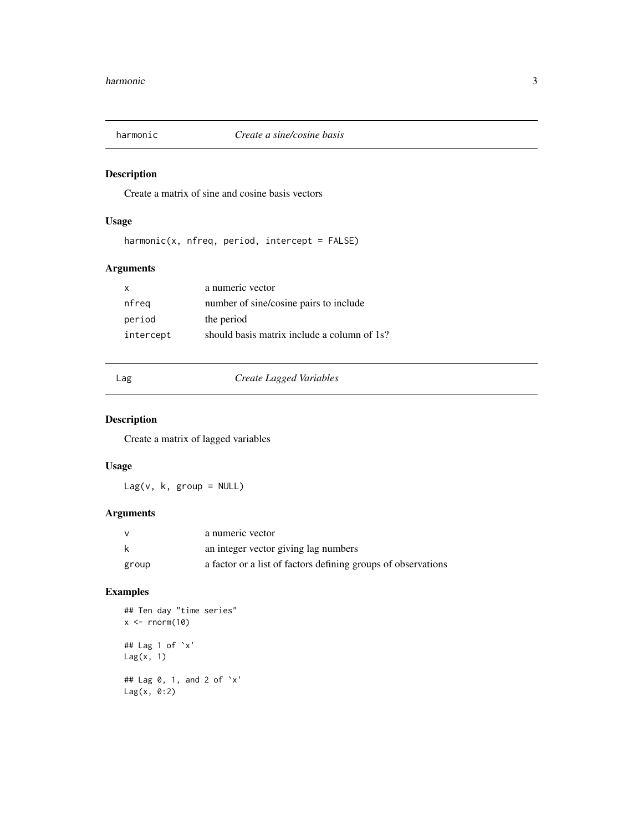<span id="page-2-0"></span>

#### Description

Create a matrix of sine and cosine basis vectors

#### Usage

harmonic(x, nfreq, period, intercept = FALSE)

#### Arguments

| X         | a numeric vector                            |
|-----------|---------------------------------------------|
| nfreq     | number of sine/cosine pairs to include      |
| period    | the period                                  |
| intercept | should basis matrix include a column of 1s? |

#### Lag *Create Lagged Variables*

#### Description

Create a matrix of lagged variables

#### Usage

 $Lag(v, k, group = NULL)$ 

#### Arguments

|       | a numeric vector                                              |
|-------|---------------------------------------------------------------|
| k     | an integer vector giving lag numbers                          |
| group | a factor or a list of factors defining groups of observations |

#### Examples

```
## Ten day "time series"
x \leftarrow \text{norm}(10)## Lag 1 of `x'
Lag(x, 1)
## Lag 0, 1, and 2 of `x'
Lag(x, 0:2)
```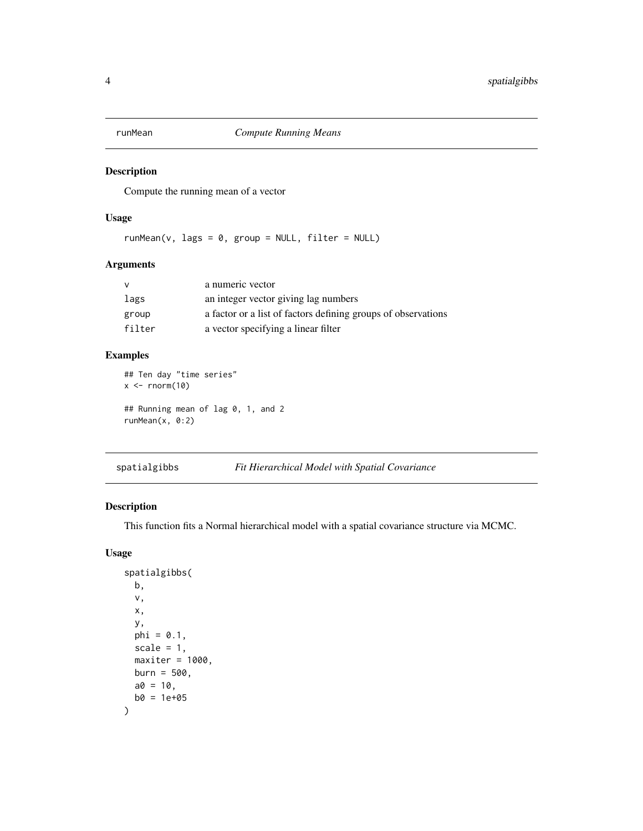<span id="page-3-0"></span>

#### Description

Compute the running mean of a vector

#### Usage

 $runMean(v, lags = 0, group = NULL, filter = NULL)$ 

### Arguments

| v      | a numeric vector                                              |
|--------|---------------------------------------------------------------|
| lags   | an integer vector giving lag numbers                          |
| group  | a factor or a list of factors defining groups of observations |
| filter | a vector specifying a linear filter                           |

#### Examples

## Ten day "time series"  $x \leftarrow \text{norm}(10)$ ## Running mean of lag 0, 1, and 2 runMean(x, 0:2)

spatialgibbs *Fit Hierarchical Model with Spatial Covariance*

#### Description

This function fits a Normal hierarchical model with a spatial covariance structure via MCMC.

#### Usage

```
spatialgibbs(
 b,
  v,
  x,
  y,
 phi = 0.1,
  scale = 1,
 maxiter = 1000,burn = 500,
 a0 = 10,
 b0 = 1e+05\mathcal{E}
```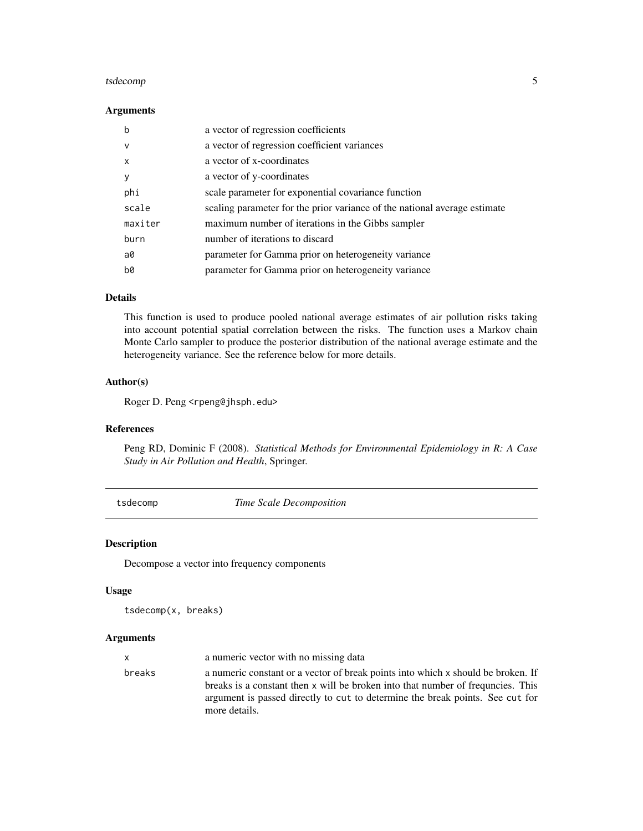#### <span id="page-4-0"></span>tsdecomp<sub>5</sub> to the set of the set of the set of the set of the set of the set of the set of the set of the set of the set of the set of the set of the set of the set of the set of the set of the set of the set of the set o

#### Arguments

| b            | a vector of regression coefficients                                       |
|--------------|---------------------------------------------------------------------------|
| $\mathsf{v}$ | a vector of regression coefficient variances                              |
| $\mathsf{x}$ | a vector of x-coordinates                                                 |
| y            | a vector of y-coordinates                                                 |
| phi          | scale parameter for exponential covariance function                       |
| scale        | scaling parameter for the prior variance of the national average estimate |
| maxiter      | maximum number of iterations in the Gibbs sampler                         |
| burn         | number of iterations to discard                                           |
| a0           | parameter for Gamma prior on heterogeneity variance                       |
| b0           | parameter for Gamma prior on heterogeneity variance                       |

#### Details

This function is used to produce pooled national average estimates of air pollution risks taking into account potential spatial correlation between the risks. The function uses a Markov chain Monte Carlo sampler to produce the posterior distribution of the national average estimate and the heterogeneity variance. See the reference below for more details.

#### Author(s)

Roger D. Peng <rpeng@jhsph.edu>

#### References

Peng RD, Dominic F (2008). *Statistical Methods for Environmental Epidemiology in R: A Case Study in Air Pollution and Health*, Springer.

tsdecomp *Time Scale Decomposition*

#### Description

Decompose a vector into frequency components

#### Usage

```
tsdecomp(x, breaks)
```
#### Arguments

| x.     | a numeric vector with no missing data                                                                                                                                                                                                                                  |
|--------|------------------------------------------------------------------------------------------------------------------------------------------------------------------------------------------------------------------------------------------------------------------------|
| breaks | a numeric constant or a vector of break points into which x should be broken. If<br>breaks is a constant then x will be broken into that number of frequencies. This<br>argument is passed directly to cut to determine the break points. See cut for<br>more details. |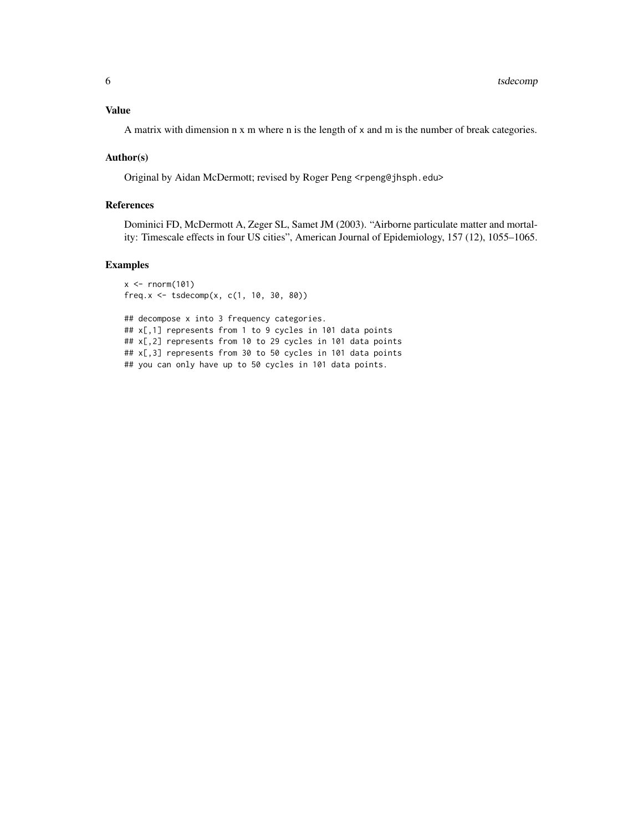#### Value

A matrix with dimension n x m where n is the length of x and m is the number of break categories.

#### Author(s)

Original by Aidan McDermott; revised by Roger Peng <rpeng@jhsph.edu>

#### References

Dominici FD, McDermott A, Zeger SL, Samet JM (2003). "Airborne particulate matter and mortality: Timescale effects in four US cities", American Journal of Epidemiology, 157 (12), 1055–1065.

#### Examples

```
x < - rnorm(101)
freq.x \le tsdecomp(x, c(1, 10, 30, 80))
## decompose x into 3 frequency categories.
## x[,1] represents from 1 to 9 cycles in 101 data points
## x[,2] represents from 10 to 29 cycles in 101 data points
## x[,3] represents from 30 to 50 cycles in 101 data points
## you can only have up to 50 cycles in 101 data points.
```